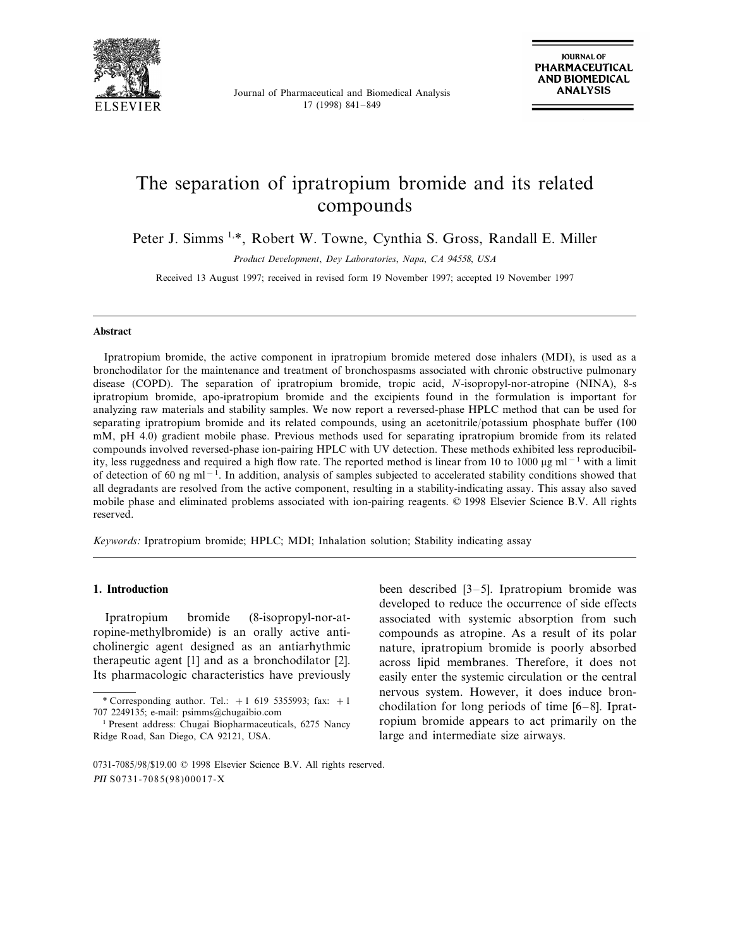

Journal of Pharmaceutical and Biomedical Analysis 17 (1998) 841–849

# The separation of ipratropium bromide and its related compounds

Peter J. Simms <sup>1,\*</sup>, Robert W. Towne, Cynthia S. Gross, Randall E. Miller

*Product De*6*elopment*, *Dey Laboratories*, *Napa*, *CA* <sup>94558</sup>, *USA*

Received 13 August 1997; received in revised form 19 November 1997; accepted 19 November 1997

## **Abstract**

Ipratropium bromide, the active component in ipratropium bromide metered dose inhalers (MDI), is used as a bronchodilator for the maintenance and treatment of bronchospasms associated with chronic obstructive pulmonary disease (COPD). The separation of ipratropium bromide, tropic acid, *N*-isopropyl-nor-atropine (NINA), 8-s ipratropium bromide, apo-ipratropium bromide and the excipients found in the formulation is important for analyzing raw materials and stability samples. We now report a reversed-phase HPLC method that can be used for separating ipratropium bromide and its related compounds, using an acetonitrile/potassium phosphate buffer (100 mM, pH 4.0) gradient mobile phase. Previous methods used for separating ipratropium bromide from its related compounds involved reversed-phase ion-pairing HPLC with UV detection. These methods exhibited less reproducibility, less ruggedness and required a high flow rate. The reported method is linear from 10 to 1000 µg ml<sup>-1</sup> with a limit of detection of 60 ng ml<sup>-1</sup>. In addition, analysis of samples subjected to accelerated stability conditions showed that all degradants are resolved from the active component, resulting in a stability-indicating assay. This assay also saved mobile phase and eliminated problems associated with ion-pairing reagents. © 1998 Elsevier Science B.V. All rights reserved.

*Keywords*: Ipratropium bromide; HPLC; MDI; Inhalation solution; Stability indicating assay

# **1. Introduction**

Ipratropium bromide (8-isopropyl-nor-atropine-methylbromide) is an orally active anticholinergic agent designed as an antiarhythmic therapeutic agent [1] and as a bronchodilator [2]. Its pharmacologic characteristics have previously

been described [3–5]. Ipratropium bromide was developed to reduce the occurrence of side effects associated with systemic absorption from such compounds as atropine. As a result of its polar nature, ipratropium bromide is poorly absorbed across lipid membranes. Therefore, it does not easily enter the systemic circulation or the central nervous system. However, it does induce bronchodilation for long periods of time [6–8]. Ipratropium bromide appears to act primarily on the large and intermediate size airways.

<sup>\*</sup> Corresponding author. Tel.:  $+1$  619 5355993; fax:  $+1$ 707 2249135; e-mail: psimms@chugaibio.com

<sup>1</sup> Present address: Chugai Biopharmaceuticals, 6275 Nancy Ridge Road, San Diego, CA 92121, USA.

<sup>0731-7085</sup>/98/\$19.00 © 1998 Elsevier Science B.V. All rights reserved. PII S0731-7085(98)00017-X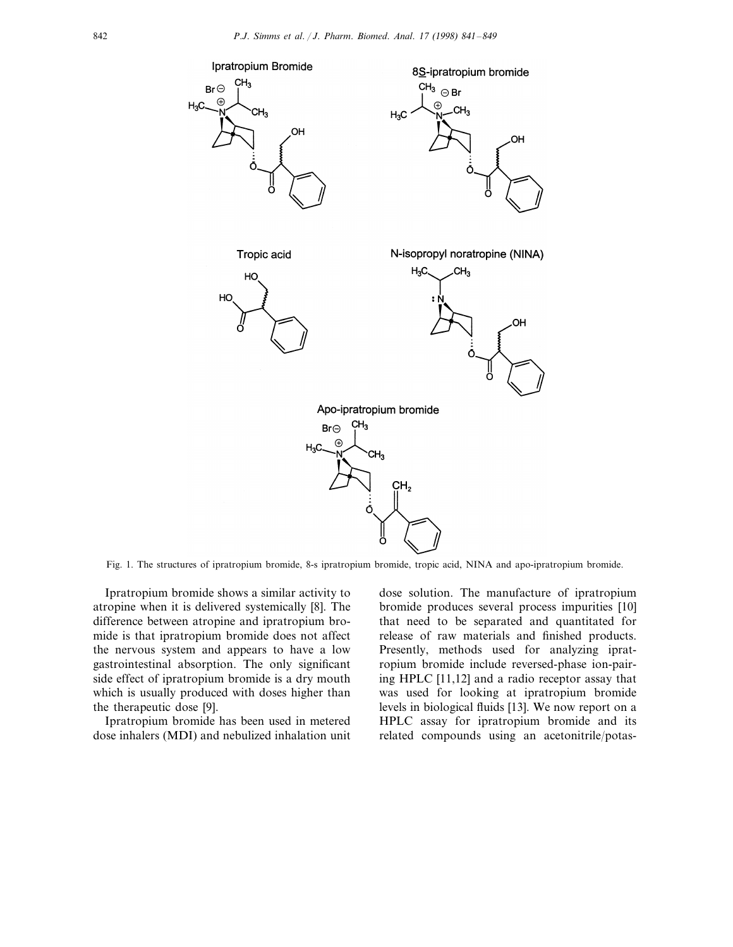

Fig. 1. The structures of ipratropium bromide, 8-s ipratropium bromide, tropic acid, NINA and apo-ipratropium bromide.

Ipratropium bromide shows a similar activity to atropine when it is delivered systemically [8]. The difference between atropine and ipratropium bromide is that ipratropium bromide does not affect the nervous system and appears to have a low gastrointestinal absorption. The only significant side effect of ipratropium bromide is a dry mouth which is usually produced with doses higher than the therapeutic dose [9].

Ipratropium bromide has been used in metered dose inhalers (MDI) and nebulized inhalation unit dose solution. The manufacture of ipratropium bromide produces several process impurities [10] that need to be separated and quantitated for release of raw materials and finished products. Presently, methods used for analyzing ipratropium bromide include reversed-phase ion-pairing HPLC [11,12] and a radio receptor assay that was used for looking at ipratropium bromide levels in biological fluids [13]. We now report on a HPLC assay for ipratropium bromide and its related compounds using an acetonitrile/potas-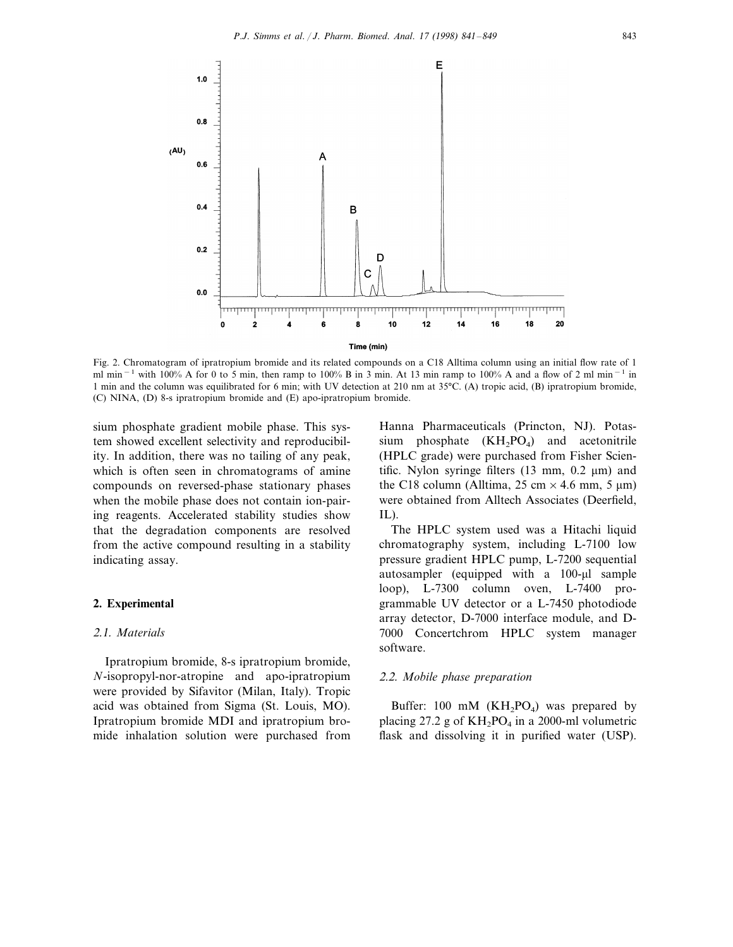

Fig. 2. Chromatogram of ipratropium bromide and its related compounds on a C18 Alltima column using an initial flow rate of 1 ml min<sup>-1</sup> with 100% A for 0 to 5 min, then ramp to 100% B in 3 min. At 13 min ramp to 100% A and a flow of 2 ml min<sup>-1</sup> in 1 min and the column was equilibrated for 6 min; with UV detection at 210 nm at 35°C. (A) tropic acid, (B) ipratropium bromide, (C) NINA, (D) 8-s ipratropium bromide and (E) apo-ipratropium bromide.

sium phosphate gradient mobile phase. This system showed excellent selectivity and reproducibility. In addition, there was no tailing of any peak, which is often seen in chromatograms of amine compounds on reversed-phase stationary phases when the mobile phase does not contain ion-pairing reagents. Accelerated stability studies show that the degradation components are resolved from the active compound resulting in a stability indicating assay.

# **2. Experimental**

## 2.1. *Materials*

Ipratropium bromide, 8-s ipratropium bromide, *N*-isopropyl-nor-atropine and apo-ipratropium were provided by Sifavitor (Milan, Italy). Tropic acid was obtained from Sigma (St. Louis, MO). Ipratropium bromide MDI and ipratropium bromide inhalation solution were purchased from

Hanna Pharmaceuticals (Princton, NJ). Potassium phosphate  $(KH_2PO_4)$  and acetonitrile (HPLC grade) were purchased from Fisher Scientific. Nylon syringe filters  $(13 \text{ mm}, 0.2 \text{ \mu m})$  and the C18 column (Alltima, 25 cm  $\times$  4.6 mm, 5 µm) were obtained from Alltech Associates (Deerfield, IL).

The HPLC system used was a Hitachi liquid chromatography system, including L-7100 low pressure gradient HPLC pump, L-7200 sequential autosampler (equipped with a 100-µl sample loop), L-7300 column oven, L-7400 programmable UV detector or a L-7450 photodiode array detector, D-7000 interface module, and D-7000 Concertchrom HPLC system manager software.

#### 2.2. *Mobile phase preparation*

Buffer: 100 mM  $(KH_2PO_4)$  was prepared by placing 27.2 g of  $KH_2PO_4$  in a 2000-ml volumetric flask and dissolving it in purified water (USP).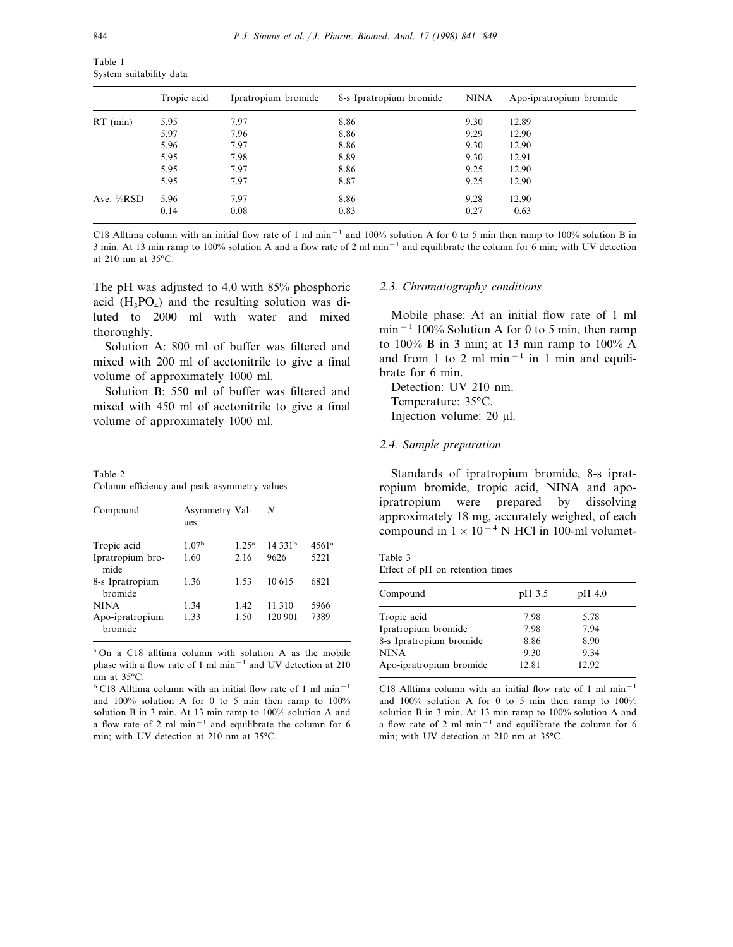| Table 1                 |  |
|-------------------------|--|
| System suitability data |  |

|             | Tropic acid | Ipratropium bromide | 8-s Ipratropium bromide | NINA | Apo-ipratropium bromide |
|-------------|-------------|---------------------|-------------------------|------|-------------------------|
| $RT$ (min)  | 5.95        | 7.97                | 8.86                    | 9.30 | 12.89                   |
|             | 5.97        | 7.96                | 8.86                    | 9.29 | 12.90                   |
|             | 5.96        | 7.97                | 8.86                    | 9.30 | 12.90                   |
|             | 5.95        | 7.98                | 8.89                    | 9.30 | 12.91                   |
|             | 5.95        | 7.97                | 8.86                    | 9.25 | 12.90                   |
|             | 5.95        | 7.97                | 8.87                    | 9.25 | 12.90                   |
| Ave. $%RSD$ | 5.96        | 7.97                | 8.86                    | 9.28 | 12.90                   |
|             | 0.14        | 0.08                | 0.83                    | 0.27 | 0.63                    |

C18 Alltima column with an initial flow rate of 1 ml min<sup>-1</sup> and 100% solution A for 0 to 5 min then ramp to 100% solution B in 3 min. At 13 min ramp to 100% solution A and a flow rate of 2 ml min−<sup>1</sup> and equilibrate the column for 6 min; with UV detection at 210 nm at 35°C.

The pH was adjusted to 4.0 with 85% phosphoric acid  $(H_3PO_4)$  and the resulting solution was diluted to 2000 ml with water and mixed thoroughly.

Solution A: 800 ml of buffer was filtered and mixed with 200 ml of acetonitrile to give a final volume of approximately 1000 ml.

Solution B: 550 ml of buffer was filtered and mixed with 450 ml of acetonitrile to give a final volume of approximately 1000 ml.

Table 2 Column efficiency and peak asymmetry values

| Compound                   | Asymmetry Val-<br>ues |                | N                   |                |
|----------------------------|-----------------------|----------------|---------------------|----------------|
| Tropic acid                | 1.07 <sup>b</sup>     | $1.25^{\rm a}$ | 14.331 <sup>b</sup> | $4561^{\rm a}$ |
| Ipratropium bro-<br>mide   | 1.60                  | 2.16           | 9626                | 5221           |
| 8-s Ipratropium<br>bromide | 1.36                  | 1.53           | 10.615              | 6821           |
| NINA                       | 1.34                  | 1.42           | 11 310              | 5966           |
| Apo-ipratropium<br>bromide | 1.33                  | 1.50           | 120 901             | 7389           |

<sup>a</sup> On a C18 alltima column with solution A as the mobile phase with a flow rate of 1 ml min−<sup>1</sup> and UV detection at 210 nm at 35°C.

<sup>b</sup> C18 Alltima column with an initial flow rate of 1 ml min−<sup>1</sup> and 100% solution A for 0 to 5 min then ramp to 100% solution B in 3 min. At 13 min ramp to 100% solution A and a flow rate of 2 ml min−<sup>1</sup> and equilibrate the column for 6 min; with UV detection at 210 nm at 35°C.

# 2.3. *Chromatography conditions*

Mobile phase: At an initial flow rate of 1 ml min<sup>−</sup><sup>1</sup> 100% Solution A for 0 to 5 min, then ramp to 100% B in 3 min; at 13 min ramp to 100% A and from 1 to 2 ml min<sup> $-1$ </sup> in 1 min and equilibrate for 6 min.

Detection: UV 210 nm. Temperature: 35°C. Injection volume: 20 µl.

# 2.4. *Sample preparation*

Standards of ipratropium bromide, 8-s ipratropium bromide, tropic acid, NINA and apoipratropium were prepared by dissolving approximately 18 mg, accurately weighed, of each compound in  $1 \times 10^{-4}$  N HCl in 100-ml volumet-

Table 3 Effect of pH on retention times

| Compound                | pH 3.5 | pH 4.0 |  |
|-------------------------|--------|--------|--|
| Tropic acid             | 7.98   | 5.78   |  |
| Ipratropium bromide     | 7.98   | 7.94   |  |
| 8-s Ipratropium bromide | 8.86   | 8.90   |  |
| NINA                    | 9.30   | 9.34   |  |
| Apo-ipratropium bromide | 12.81  | 12.92  |  |
|                         |        |        |  |

C18 Alltima column with an initial flow rate of 1 ml min−<sup>1</sup> and 100% solution A for 0 to 5 min then ramp to 100% solution B in 3 min. At 13 min ramp to 100% solution A and a flow rate of 2 ml min−<sup>1</sup> and equilibrate the column for 6 min; with UV detection at 210 nm at 35°C.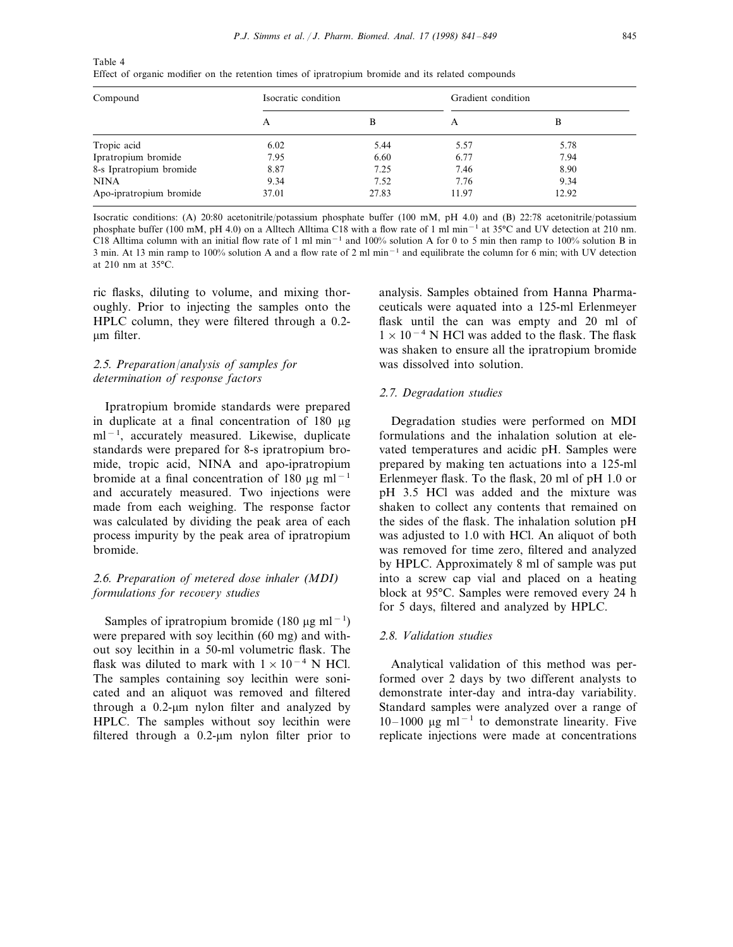| Table 4                                                                                            |  |  |
|----------------------------------------------------------------------------------------------------|--|--|
| Effect of organic modifier on the retention times of ipratropium bromide and its related compounds |  |  |

| Compound                | Isocratic condition |       | Gradient condition |       |
|-------------------------|---------------------|-------|--------------------|-------|
|                         |                     | B     |                    | В     |
| Tropic acid             | 6.02                | 5.44  | 5.57               | 5.78  |
| Ipratropium bromide     | 7.95                | 6.60  | 6.77               | 7.94  |
| 8-s Ipratropium bromide | 8.87                | 7.25  | 7.46               | 8.90  |
| <b>NINA</b>             | 9.34                | 7.52  | 7.76               | 9.34  |
| Apo-ipratropium bromide | 37.01               | 27.83 | 11.97              | 12.92 |

Isocratic conditions: (A) 20:80 acetonitrile/potassium phosphate buffer (100 mM, pH 4.0) and (B) 22:78 acetonitrile/potassium phosphate buffer (100 mM, pH 4.0) on a Alltech Alltima C18 with a flow rate of 1 ml min−<sup>1</sup> at 35°C and UV detection at 210 nm. C18 Alltima column with an initial flow rate of 1 ml min−<sup>1</sup> and 100% solution A for 0 to 5 min then ramp to 100% solution B in 3 min. At 13 min ramp to 100% solution A and a flow rate of 2 ml min<sup>-1</sup> and equilibrate the column for 6 min; with UV detection at 210 nm at 35°C.

ric flasks, diluting to volume, and mixing thoroughly. Prior to injecting the samples onto the HPLC column, they were filtered through a 0.2 um filter.

# 2.5. *Preparation*/*analysis of samples for determination of response factors*

Ipratropium bromide standards were prepared in duplicate at a final concentration of 180 mg ml<sup>−</sup><sup>1</sup> , accurately measured. Likewise, duplicate standards were prepared for 8-s ipratropium bromide, tropic acid, NINA and apo-ipratropium bromide at a final concentration of 180  $\mu$ g ml<sup>-1</sup> and accurately measured. Two injections were made from each weighing. The response factor was calculated by dividing the peak area of each process impurity by the peak area of ipratropium bromide.

# 2.6. *Preparation of metered dose inhaler* (*MDI*) *formulations for recovery studies*

Samples of ipratropium bromide (180 µg ml<sup>-1</sup>) were prepared with soy lecithin (60 mg) and without soy lecithin in a 50-ml volumetric flask. The flask was diluted to mark with  $1 \times 10^{-4}$  N HCl. The samples containing soy lecithin were sonicated and an aliquot was removed and filtered through a  $0.2$ -µm nylon filter and analyzed by HPLC. The samples without soy lecithin were filtered through a  $0.2$ - $\mu$ m nylon filter prior to

analysis. Samples obtained from Hanna Pharmaceuticals were aquated into a 125-ml Erlenmeyer flask until the can was empty and 20 ml of  $1 \times 10^{-4}$  N HCl was added to the flask. The flask was shaken to ensure all the ipratropium bromide was dissolved into solution.

## 2.7. *Degradation studies*

Degradation studies were performed on MDI formulations and the inhalation solution at elevated temperatures and acidic pH. Samples were prepared by making ten actuations into a 125-ml Erlenmeyer flask. To the flask, 20 ml of pH 1.0 or pH 3.5 HCl was added and the mixture was shaken to collect any contents that remained on the sides of the flask. The inhalation solution pH was adjusted to 1.0 with HCl. An aliquot of both was removed for time zero, filtered and analyzed by HPLC. Approximately 8 ml of sample was put into a screw cap vial and placed on a heating block at 95°C. Samples were removed every 24 h for 5 days, filtered and analyzed by HPLC.

## 2.8. *Validation studies*

Analytical validation of this method was performed over 2 days by two different analysts to demonstrate inter-day and intra-day variability. Standard samples were analyzed over a range of 10–1000 mg ml−<sup>1</sup> to demonstrate linearity. Five replicate injections were made at concentrations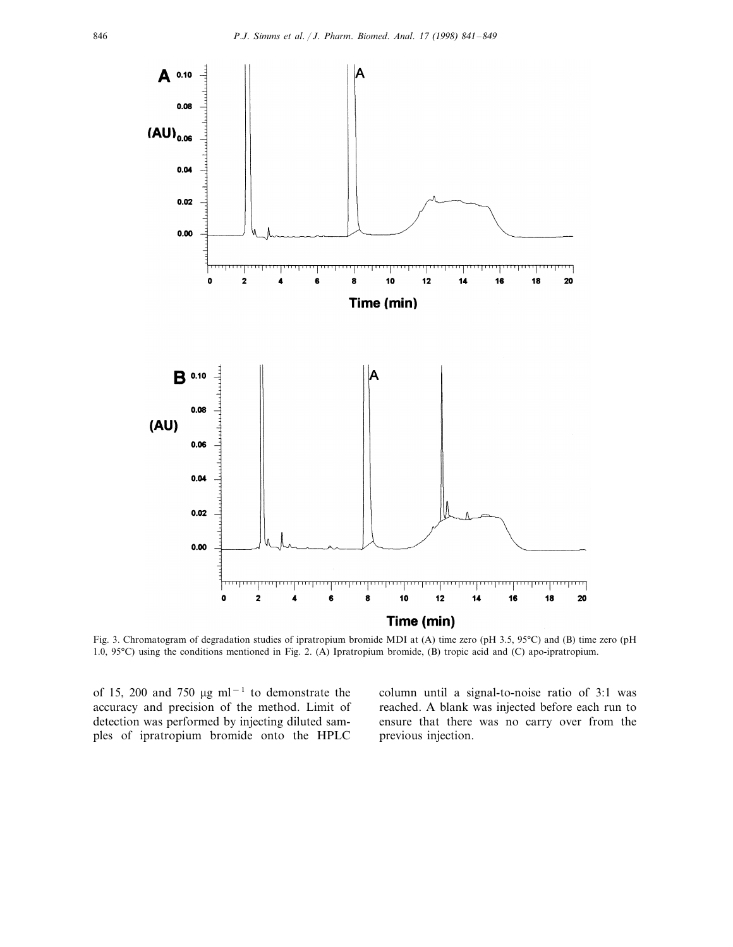

Fig. 3. Chromatogram of degradation studies of ipratropium bromide MDI at (A) time zero (pH 3.5, 95°C) and (B) time zero (pH 1.0, 95°C) using the conditions mentioned in Fig. 2. (A) Ipratropium bromide, (B) tropic acid and (C) apo-ipratropium.

of 15, 200 and 750 µg ml<sup>-1</sup> to demonstrate the accuracy and precision of the method. Limit of detection was performed by injecting diluted samples of ipratropium bromide onto the HPLC

column until a signal-to-noise ratio of 3:1 was reached. A blank was injected before each run to ensure that there was no carry over from the previous injection.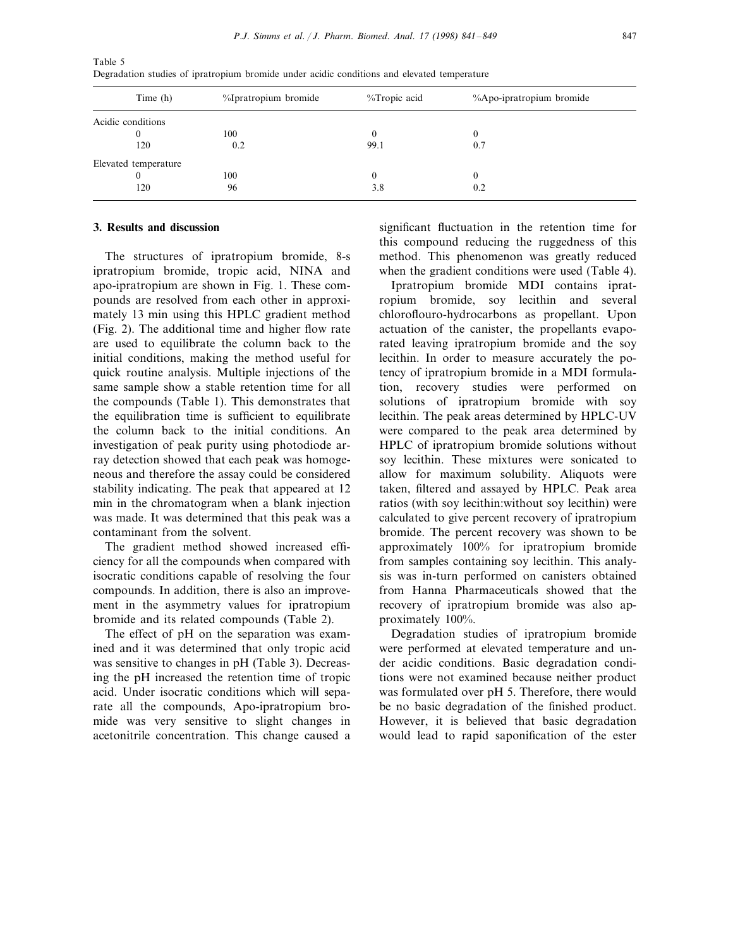| Time (h)             | %Ipratropium bromide | %Tropic acid | %Apo-ipratropium bromide |
|----------------------|----------------------|--------------|--------------------------|
| Acidic conditions    |                      |              |                          |
| 0                    | 100                  | 0            | $\theta$                 |
| 120                  | 0.2                  | 99.1         | 0.7                      |
| Elevated temperature |                      |              |                          |
| $\theta$             | 100                  | 0            | $\theta$                 |
| 120                  | 96                   | 3.8          | 0.2                      |

Table 5 Degradation studies of ipratropium bromide under acidic conditions and elevated temperature

# **3. Results and discussion**

The structures of ipratropium bromide, 8-s ipratropium bromide, tropic acid, NINA and apo-ipratropium are shown in Fig. 1. These compounds are resolved from each other in approximately 13 min using this HPLC gradient method (Fig. 2). The additional time and higher flow rate are used to equilibrate the column back to the initial conditions, making the method useful for quick routine analysis. Multiple injections of the same sample show a stable retention time for all the compounds (Table 1). This demonstrates that the equilibration time is sufficient to equilibrate the column back to the initial conditions. An investigation of peak purity using photodiode array detection showed that each peak was homogeneous and therefore the assay could be considered stability indicating. The peak that appeared at 12 min in the chromatogram when a blank injection was made. It was determined that this peak was a contaminant from the solvent.

The gradient method showed increased efficiency for all the compounds when compared with isocratic conditions capable of resolving the four compounds. In addition, there is also an improvement in the asymmetry values for ipratropium bromide and its related compounds (Table 2).

The effect of pH on the separation was examined and it was determined that only tropic acid was sensitive to changes in pH (Table 3). Decreasing the pH increased the retention time of tropic acid. Under isocratic conditions which will separate all the compounds, Apo-ipratropium bromide was very sensitive to slight changes in acetonitrile concentration. This change caused a

significant fluctuation in the retention time for this compound reducing the ruggedness of this method. This phenomenon was greatly reduced when the gradient conditions were used (Table 4).

Ipratropium bromide MDI contains ipratropium bromide, soy lecithin and several chloroflouro-hydrocarbons as propellant. Upon actuation of the canister, the propellants evaporated leaving ipratropium bromide and the soy lecithin. In order to measure accurately the potency of ipratropium bromide in a MDI formulation, recovery studies were performed on solutions of ipratropium bromide with soy lecithin. The peak areas determined by HPLC-UV were compared to the peak area determined by HPLC of ipratropium bromide solutions without soy lecithin. These mixtures were sonicated to allow for maximum solubility. Aliquots were taken, filtered and assayed by HPLC. Peak area ratios (with soy lecithin:without soy lecithin) were calculated to give percent recovery of ipratropium bromide. The percent recovery was shown to be approximately 100% for ipratropium bromide from samples containing soy lecithin. This analysis was in-turn performed on canisters obtained from Hanna Pharmaceuticals showed that the recovery of ipratropium bromide was also approximately 100%.

Degradation studies of ipratropium bromide were performed at elevated temperature and under acidic conditions. Basic degradation conditions were not examined because neither product was formulated over pH 5. Therefore, there would be no basic degradation of the finished product. However, it is believed that basic degradation would lead to rapid saponification of the ester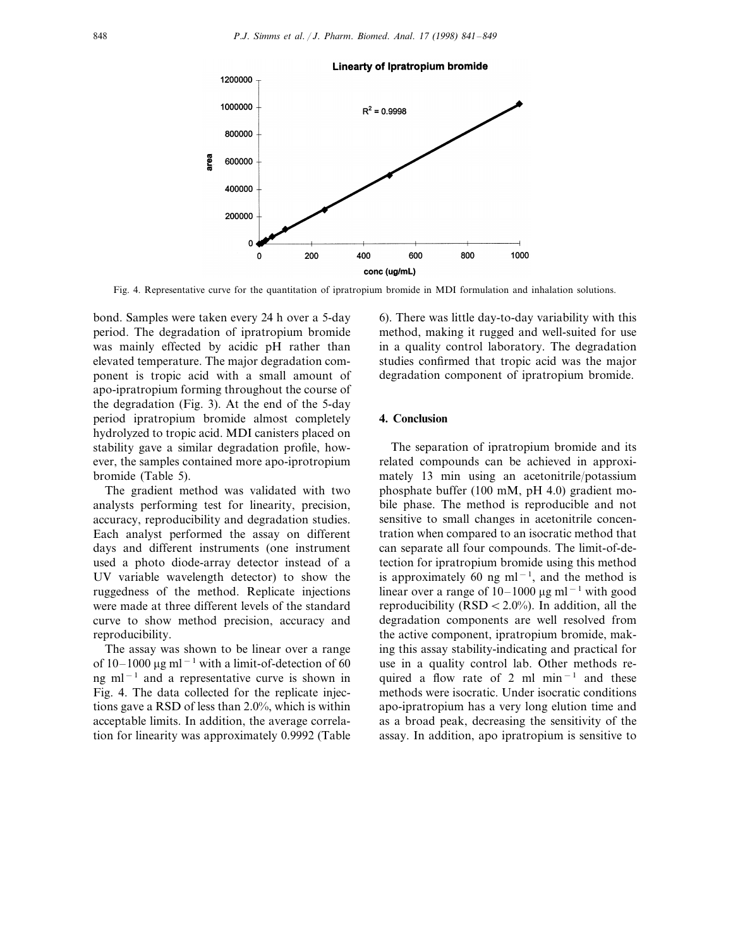

Fig. 4. Representative curve for the quantitation of ipratropium bromide in MDI formulation and inhalation solutions.

bond. Samples were taken every 24 h over a 5-day period. The degradation of ipratropium bromide was mainly effected by acidic pH rather than elevated temperature. The major degradation component is tropic acid with a small amount of apo-ipratropium forming throughout the course of the degradation (Fig. 3). At the end of the 5-day period ipratropium bromide almost completely hydrolyzed to tropic acid. MDI canisters placed on stability gave a similar degradation profile, however, the samples contained more apo-iprotropium bromide (Table 5).

The gradient method was validated with two analysts performing test for linearity, precision, accuracy, reproducibility and degradation studies. Each analyst performed the assay on different days and different instruments (one instrument used a photo diode-array detector instead of a UV variable wavelength detector) to show the ruggedness of the method. Replicate injections were made at three different levels of the standard curve to show method precision, accuracy and reproducibility.

The assay was shown to be linear over a range of 10–1000  $\mu$ g ml<sup>-1</sup> with a limit-of-detection of 60 ng ml<sup>-1</sup> and a representative curve is shown in Fig. 4. The data collected for the replicate injections gave a RSD of less than 2.0%, which is within acceptable limits. In addition, the average correlation for linearity was approximately 0.9992 (Table 6). There was little day-to-day variability with this method, making it rugged and well-suited for use in a quality control laboratory. The degradation studies confirmed that tropic acid was the major degradation component of ipratropium bromide.

# **4. Conclusion**

The separation of ipratropium bromide and its related compounds can be achieved in approximately 13 min using an acetonitrile/potassium phosphate buffer (100 mM, pH 4.0) gradient mobile phase. The method is reproducible and not sensitive to small changes in acetonitrile concentration when compared to an isocratic method that can separate all four compounds. The limit-of-detection for ipratropium bromide using this method is approximately 60 ng ml<sup>-1</sup>, and the method is linear over a range of 10–1000 µg ml<sup>-1</sup> with good reproducibility (RSD  $< 2.0\%$ ). In addition, all the degradation components are well resolved from the active component, ipratropium bromide, making this assay stability-indicating and practical for use in a quality control lab. Other methods required a flow rate of 2 ml min−<sup>1</sup> and these methods were isocratic. Under isocratic conditions apo-ipratropium has a very long elution time and as a broad peak, decreasing the sensitivity of the assay. In addition, apo ipratropium is sensitive to